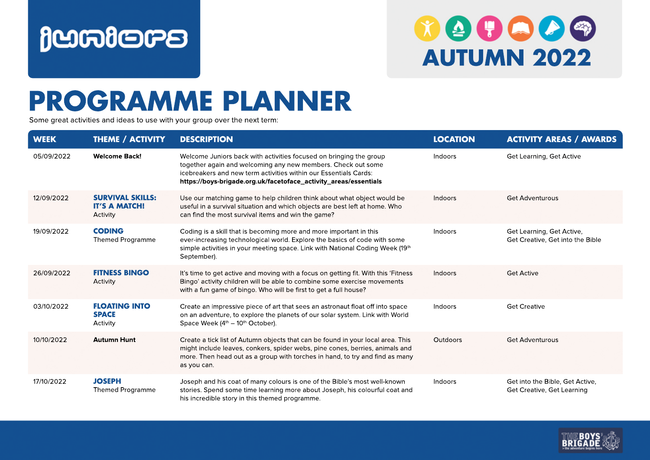

## $\boldsymbol{v} \boldsymbol{\omega} \boldsymbol{\Theta} \boldsymbol{\omega} \boldsymbol{\omega}$ **AUTUMN 2022**

## **PROGRAMME PLANNER**

Some great activities and ideas to use with your group over the next term:

| <b>WEEK</b> | THEME / ACTIVITY                                            | <b>DESCRIPTION</b>                                                                                                                                                                                                                                                         | <b>LOCATION</b> | <b>ACTIVITY AREAS / AWARDS</b>                                |
|-------------|-------------------------------------------------------------|----------------------------------------------------------------------------------------------------------------------------------------------------------------------------------------------------------------------------------------------------------------------------|-----------------|---------------------------------------------------------------|
| 05/09/2022  | <b>Welcome Back!</b>                                        | Welcome Juniors back with activities focused on bringing the group<br>together again and welcoming any new members. Check out some<br>icebreakers and new term activities within our Essentials Cards:<br>https://boys-brigade.org.uk/facetoface_activity_areas/essentials | Indoors         | Get Learning, Get Active                                      |
| 12/09/2022  | <b>SURVIVAL SKILLS:</b><br><b>IT'S A MATCH!</b><br>Activity | Use our matching game to help children think about what object would be<br>useful in a survival situation and which objects are best left at home. Who<br>can find the most survival items and win the game?                                                               | Indoors         | <b>Get Adventurous</b>                                        |
| 19/09/2022  | <b>CODING</b><br><b>Themed Programme</b>                    | Coding is a skill that is becoming more and more important in this<br>ever-increasing technological world. Explore the basics of code with some<br>simple activities in your meeting space. Link with National Coding Week (19th<br>September).                            | Indoors         | Get Learning, Get Active,<br>Get Creative, Get into the Bible |
| 26/09/2022  | <b>FITNESS BINGO</b><br>Activity                            | It's time to get active and moving with a focus on getting fit. With this 'Fitness'<br>Bingo' activity children will be able to combine some exercise movements<br>with a fun game of bingo. Who will be first to get a full house?                                        | Indoors         | <b>Get Active</b>                                             |
| 03/10/2022  | <b>FLOATING INTO</b><br><b>SPACE</b><br>Activity            | Create an impressive piece of art that sees an astronaut float off into space<br>on an adventure, to explore the planets of our solar system. Link with World<br>Space Week $(4th - 10th$ October).                                                                        | Indoors         | <b>Get Creative</b>                                           |
| 10/10/2022  | <b>Autumn Hunt</b>                                          | Create a tick list of Autumn objects that can be found in your local area. This<br>might include leaves, conkers, spider webs, pine cones, berries, animals and<br>more. Then head out as a group with torches in hand, to try and find as many<br>as you can.             | <b>Outdoors</b> | <b>Get Adventurous</b>                                        |
| 17/10/2022  | <b>JOSEPH</b><br><b>Themed Programme</b>                    | Joseph and his coat of many colours is one of the Bible's most well-known<br>stories. Spend some time learning more about Joseph, his colourful coat and<br>his incredible story in this themed programme.                                                                 | Indoors         | Get into the Bible, Get Active,<br>Get Creative, Get Learning |